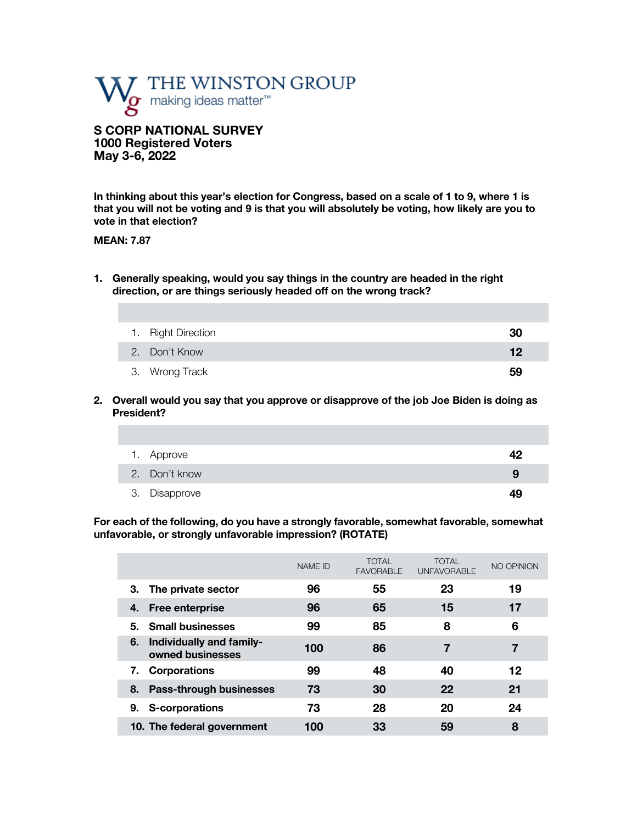

**S CORP NATIONAL SURVEY 1000 Registered Voters May 3-6, 2022** 

**In thinking about this year's election for Congress, based on a scale of 1 to 9, where 1 is that you will not be voting and 9 is that you will absolutely be voting, how likely are you to vote in that election?**

#### **MEAN: 7.87**

**1. Generally speaking, would you say things in the country are headed in the right direction, or are things seriously headed off on the wrong track?** 

| 1. Right Direction | 30 |
|--------------------|----|
| 2. Don't Know      | 12 |
| 3. Wrong Track     | 59 |

**2. Overall would you say that you approve or disapprove of the job Joe Biden is doing as President?**

| 1. Approve    | 42 |
|---------------|----|
| 2. Don't know | 9  |
| 3. Disapprove | 49 |

**For each of the following, do you have a strongly favorable, somewhat favorable, somewhat unfavorable, or strongly unfavorable impression? (ROTATE)**

|                                                    | <b>NAME ID</b> | <b>TOTAL</b><br><b>FAVORABLE</b> | <b>TOTAL</b><br><b>UNFAVORABLE</b> | NO OPINION |
|----------------------------------------------------|----------------|----------------------------------|------------------------------------|------------|
| The private sector<br>З.                           | 96             | 55                               | 23                                 | 19         |
| <b>Free enterprise</b><br>4.                       | 96             | 65                               | 15                                 | 17         |
| <b>Small businesses</b><br>5.                      | 99             | 85                               | 8                                  | 6          |
| Individually and family-<br>6.<br>owned businesses | 100            | 86                               | 7                                  | 7          |
| <b>Corporations</b><br>7.                          | 99             | 48                               | 40                                 | 12         |
| 8. Pass-through businesses                         | 73             | 30                               | 22                                 | 21         |
| S-corporations<br>9.                               | 73             | 28                               | 20                                 | 24         |
| 10. The federal government                         | 100            | 33                               | 59                                 | 8          |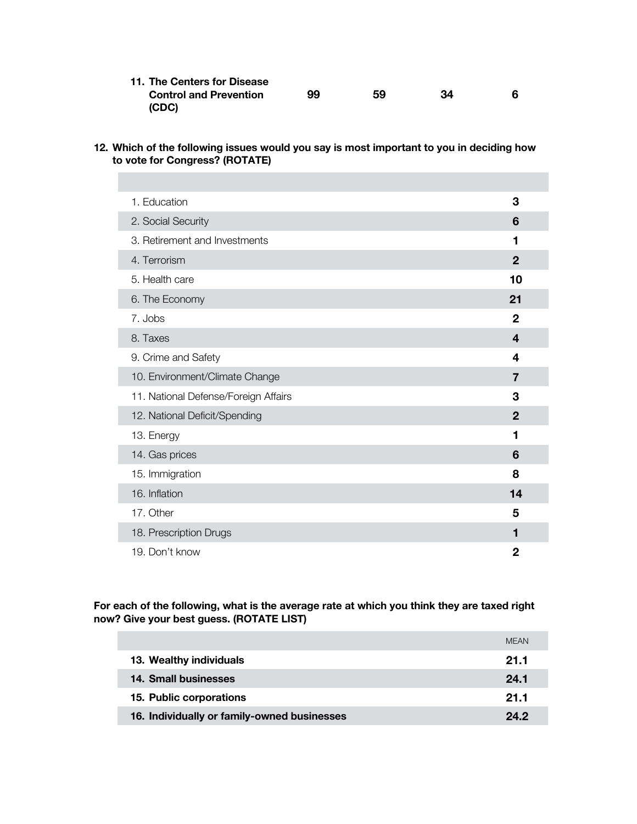| 11. The Centers for Disease   |    |    |    |  |
|-------------------------------|----|----|----|--|
| <b>Control and Prevention</b> | 99 | 59 | 34 |  |
| (CDC)                         |    |    |    |  |

**12. Which of the following issues would you say is most important to you in deciding how to vote for Congress? (ROTATE)**

| 1. Education                         | 3            |  |
|--------------------------------------|--------------|--|
| 2. Social Security                   | 6            |  |
| 3. Retirement and Investments        | 1            |  |
| 4. Terrorism                         | $\mathbf{2}$ |  |
| 5. Health care                       | 10           |  |
| 6. The Economy                       | 21           |  |
| 7. Jobs                              | $\mathbf{2}$ |  |
| 8. Taxes                             | 4            |  |
| 9. Crime and Safety                  | 4            |  |
| 10. Environment/Climate Change       | 7            |  |
| 11. National Defense/Foreign Affairs | 3            |  |
| 12. National Deficit/Spending        | $\mathbf{2}$ |  |
| 13. Energy                           | 1            |  |
| 14. Gas prices                       | 6            |  |
| 15. Immigration                      | 8            |  |
| 16. Inflation                        | 14           |  |
| 17. Other                            | 5            |  |
| 18. Prescription Drugs               | 1            |  |
| 19. Don't know                       | 2            |  |

**For each of the following, what is the average rate at which you think they are taxed right now? Give your best guess. (ROTATE LIST)**

|                                             | <b>MEAN</b> |
|---------------------------------------------|-------------|
| 13. Wealthy individuals                     | 21.1        |
| 14. Small businesses                        | 24.1        |
| 15. Public corporations                     | 21.1        |
| 16. Individually or family-owned businesses | 24.2        |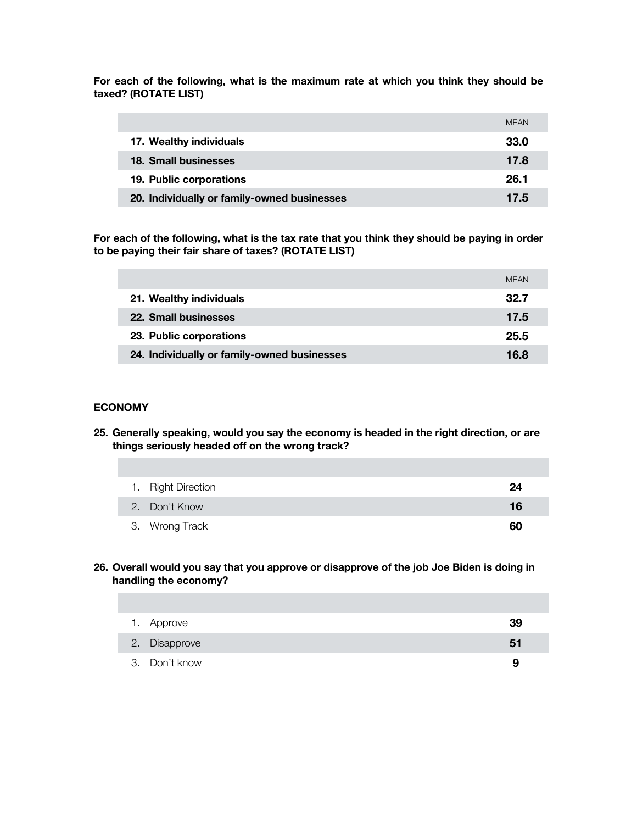**For each of the following, what is the maximum rate at which you think they should be taxed? (ROTATE LIST)**

|                                             | <b>MFAN</b> |
|---------------------------------------------|-------------|
| 17. Wealthy individuals                     | 33.0        |
| 18. Small businesses                        | 17.8        |
| 19. Public corporations                     | 26.1        |
| 20. Individually or family-owned businesses | 17.5        |

**For each of the following, what is the tax rate that you think they should be paying in order to be paying their fair share of taxes? (ROTATE LIST)**

|                                             | <b>MFAN</b> |
|---------------------------------------------|-------------|
| 21. Wealthy individuals                     | 32.7        |
| 22. Small businesses                        | 17.5        |
| 23. Public corporations                     | 25.5        |
| 24. Individually or family-owned businesses | 16.8        |

#### **ECONOMY**

**25. Generally speaking, would you say the economy is headed in the right direction, or are things seriously headed off on the wrong track?** 

| 1. Right Direction | 24 |
|--------------------|----|
| 2. Don't Know      | 16 |
| 3. Wrong Track     | 60 |

#### **26. Overall would you say that you approve or disapprove of the job Joe Biden is doing in handling the economy?**

| 1. Approve    | 39 |
|---------------|----|
| 2. Disapprove | 51 |
| 3. Don't know | 9  |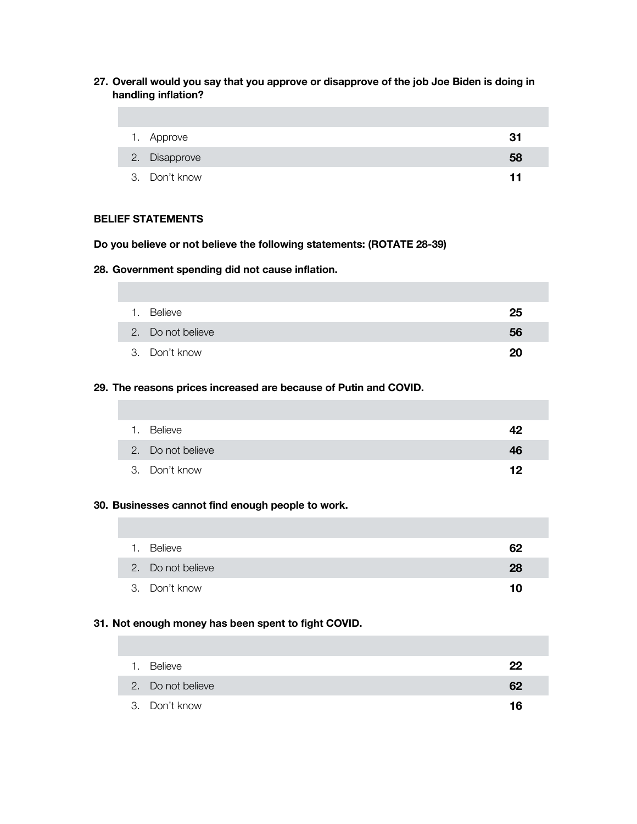**27. Overall would you say that you approve or disapprove of the job Joe Biden is doing in handling inflation?**

| 1. Approve    | 31 |
|---------------|----|
| 2. Disapprove | 58 |
| 3. Don't know | 11 |

## **BELIEF STATEMENTS**

**Do you believe or not believe the following statements: (ROTATE 28-39)**

**28. Government spending did not cause inflation.**

| 1. | Believe           | 25 |
|----|-------------------|----|
|    | 2. Do not believe | 56 |
|    | 3. Don't know     | 20 |

### **29. The reasons prices increased are because of Putin and COVID.**

| $\overline{1}$ . | Believe           | 42 |
|------------------|-------------------|----|
|                  | 2. Do not believe | 46 |
|                  | 3. Don't know     | 12 |

### **30. Businesses cannot find enough people to work.**

| 1. Believe        | 62 |
|-------------------|----|
| 2. Do not believe | 28 |
| 3. Don't know     | 10 |

## **31. Not enough money has been spent to fight COVID.**

| $\mathbf{1}$ . | Believe           | 22 |
|----------------|-------------------|----|
|                | 2. Do not believe | 62 |
|                | 3. Don't know     | 16 |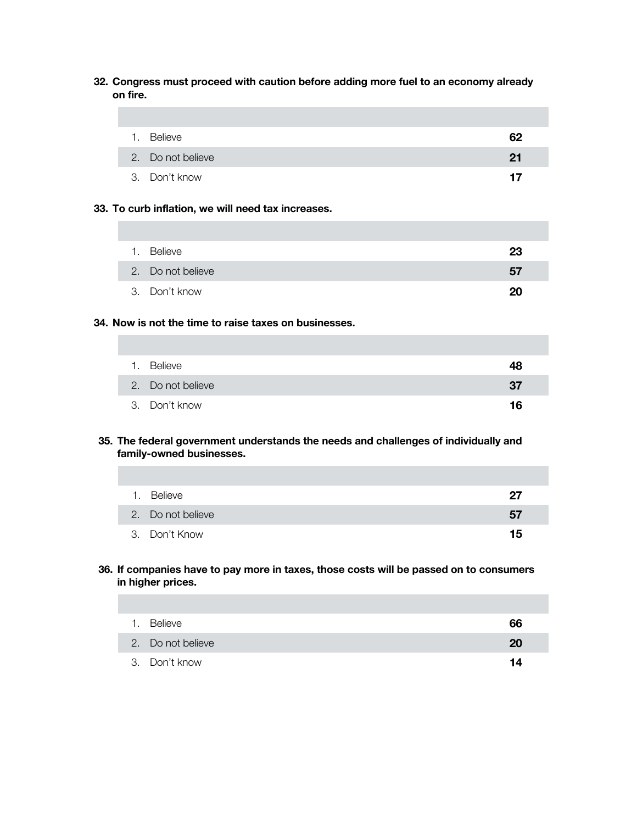**32. Congress must proceed with caution before adding more fuel to an economy already on fire.**

| 1. | Believe           | 62 |
|----|-------------------|----|
|    | 2. Do not believe | 21 |
|    | 3. Don't know     | 17 |

### **33. To curb inflation, we will need tax increases.**

| 1. Believe        | 23 |
|-------------------|----|
| 2. Do not believe | 57 |
| 3. Don't know     | 20 |

## **34. Now is not the time to raise taxes on businesses.**

| 1. Believe        | 48  |
|-------------------|-----|
| 2. Do not believe | -37 |
| 3. Don't know     | 16  |

## **35. The federal government understands the needs and challenges of individually and family-owned businesses.**

| 1. Believe        | 27 |
|-------------------|----|
| 2. Do not believe | 57 |
| 3. Don't Know     | 15 |

## **36. If companies have to pay more in taxes, those costs will be passed on to consumers in higher prices.**

| $\mathbf{1}$ . | Believe           | 66 |
|----------------|-------------------|----|
|                | 2. Do not believe | 20 |
|                | 3. Don't know     | 14 |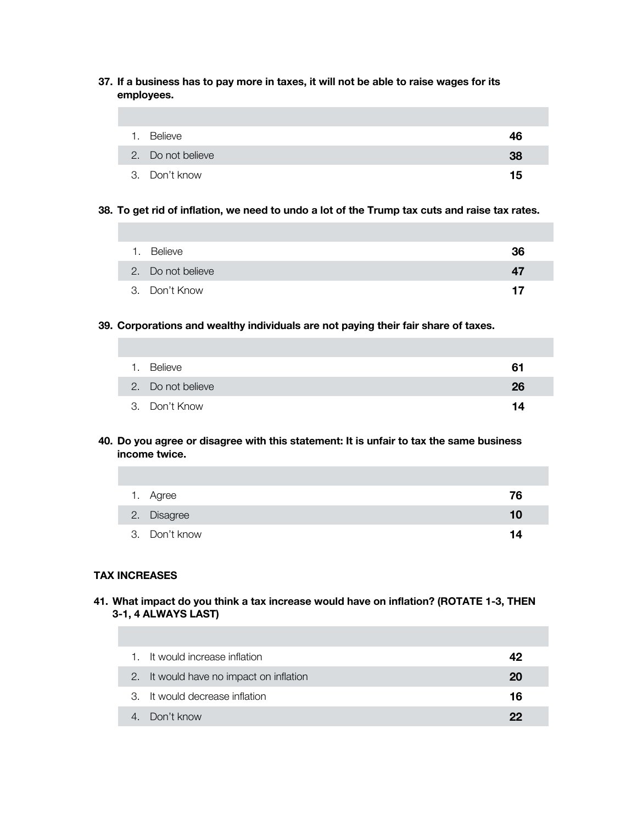**37. If a business has to pay more in taxes, it will not be able to raise wages for its employees.** 

| 1. Believe        | 46 |
|-------------------|----|
| 2. Do not believe | 38 |
| 3. Don't know     | 15 |

**38. To get rid of inflation, we need to undo a lot of the Trump tax cuts and raise tax rates.**

| $\mathbf{1}$ . | <b>Believe</b>    | 36 |
|----------------|-------------------|----|
|                | 2. Do not believe | 47 |
|                | 3. Don't Know     | 17 |

**39. Corporations and wealthy individuals are not paying their fair share of taxes.**

| 1. Believe        | 61 |
|-------------------|----|
| 2. Do not believe | 26 |
| 3. Don't Know     | 14 |

**40. Do you agree or disagree with this statement: It is unfair to tax the same business income twice.** 

| 1. Agree      | 76 |
|---------------|----|
| 2. Disagree   | 10 |
| 3. Don't know | 14 |

### **TAX INCREASES**

**41. What impact do you think a tax increase would have on inflation? (ROTATE 1-3, THEN 3-1, 4 ALWAYS LAST)**

| 1. | It would increase inflation             | 42 |
|----|-----------------------------------------|----|
|    | 2. It would have no impact on inflation | 20 |
|    | 3. It would decrease inflation          | 16 |
|    | 4. Don't know                           | 22 |
|    |                                         |    |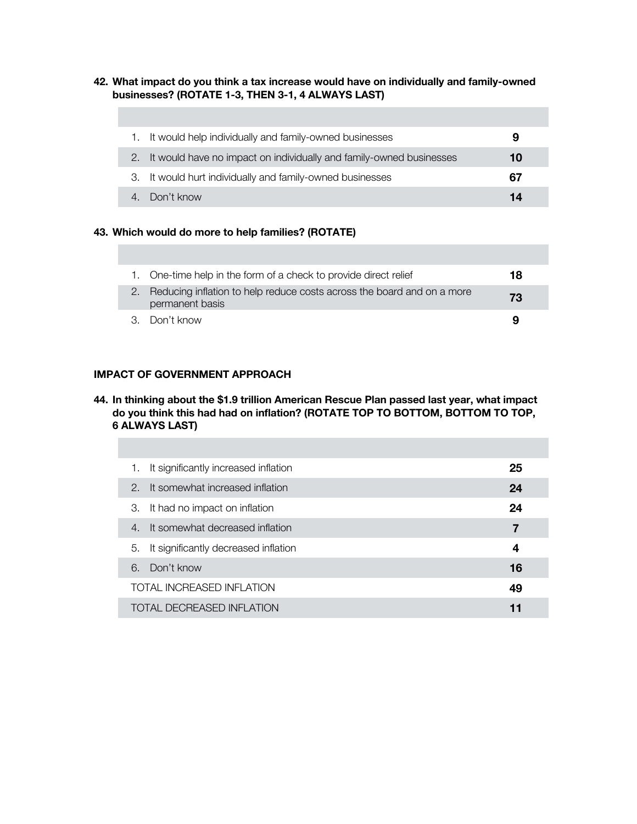#### **42. What impact do you think a tax increase would have on individually and family-owned businesses? (ROTATE 1-3, THEN 3-1, 4 ALWAYS LAST)**

|     | It would help individually and family-owned businesses              | 9  |
|-----|---------------------------------------------------------------------|----|
| 2.7 | It would have no impact on individually and family-owned businesses | 10 |
|     | 3. It would hurt individually and family-owned businesses           | 67 |
|     | 4. Don't know                                                       | 14 |

## **43. Which would do more to help families? (ROTATE)**

| 1. One-time help in the form of a check to provide direct relief                             | 18 |
|----------------------------------------------------------------------------------------------|----|
| 2. Reducing inflation to help reduce costs across the board and on a more<br>permanent basis | 73 |
| 3. Don't know                                                                                | 9  |

## **IMPACT OF GOVERNMENT APPROACH**

## **44. In thinking about the \$1.9 trillion American Rescue Plan passed last year, what impact do you think this had had on inflation? (ROTATE TOP TO BOTTOM, BOTTOM TO TOP, 6 ALWAYS LAST)**

| It significantly increased inflation<br>1.        | 25 |
|---------------------------------------------------|----|
| It somewhat increased inflation<br>$\mathcal{P}$  | 24 |
| It had no impact on inflation<br>З.               | 24 |
| It somewhat decreased inflation<br>$\overline{4}$ | 7  |
| It significantly decreased inflation<br>5.        | 4  |
| 6<br>Don't know                                   | 16 |
| TOTAL INCREASED INFLATION                         | 49 |
| <b>TOTAL DECREASED INFLATION</b>                  | 11 |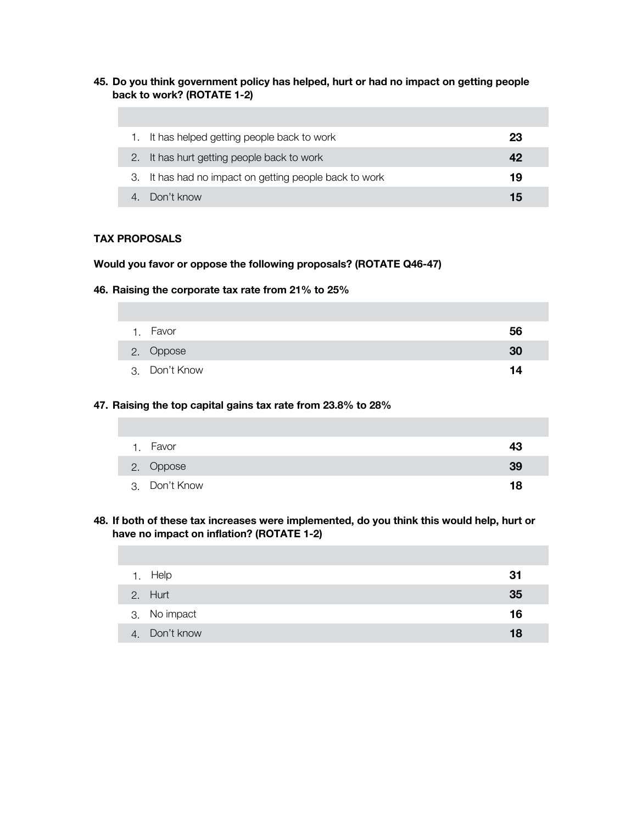#### **45. Do you think government policy has helped, hurt or had no impact on getting people back to work? (ROTATE 1-2)**

| 1. It has helped getting people back to work           | 23 |
|--------------------------------------------------------|----|
| 2. It has hurt getting people back to work             | 42 |
| 3. It has had no impact on getting people back to work | 19 |
| Don't know                                             | 15 |

### **TAX PROPOSALS**

#### **Would you favor or oppose the following proposals? (ROTATE Q46-47)**

**46. Raising the corporate tax rate from 21% to 25%**

| 1. Favor      | 56 |
|---------------|----|
| 2. Oppose     | 30 |
| 3. Don't Know | 14 |

#### **47. Raising the top capital gains tax rate from 23.8% to 28%**

| 1. Favor      | 43 |
|---------------|----|
| 2. Oppose     | 39 |
| 3. Don't Know | 18 |

## **48. If both of these tax increases were implemented, do you think this would help, hurt or have no impact on inflation? (ROTATE 1-2)**

| 1. | Help          | 31 |
|----|---------------|----|
|    | 2. Hurt       | 35 |
|    | 3. No impact  | 16 |
|    | 4. Don't know | 18 |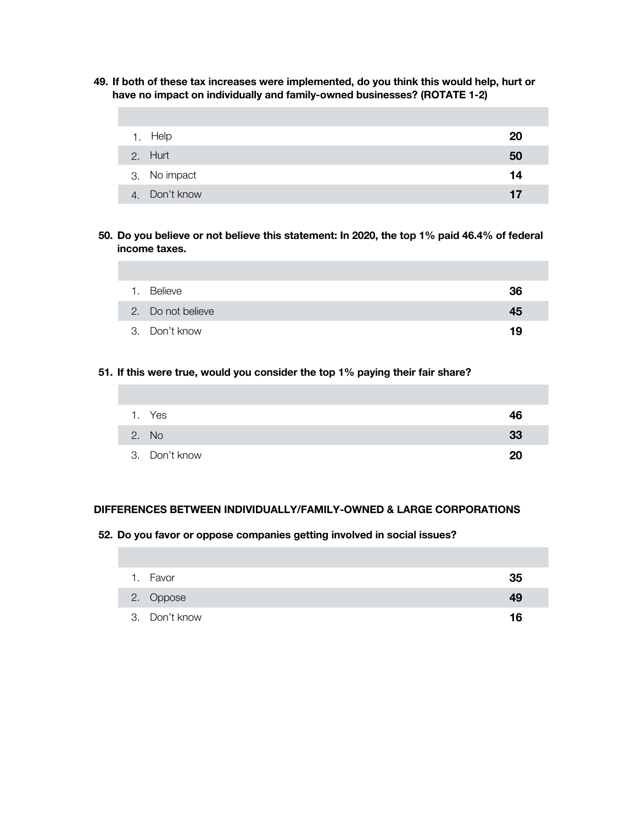**49. If both of these tax increases were implemented, do you think this would help, hurt or have no impact on individually and family-owned businesses? (ROTATE 1-2)**

| Help          | 20 |
|---------------|----|
| 2. Hurt       | 50 |
| 3. No impact  | 14 |
| 4. Don't know | 17 |

**50. Do you believe or not believe this statement: In 2020, the top 1% paid 46.4% of federal income taxes.** 

| 1. Believe        | 36 |
|-------------------|----|
| 2. Do not believe | 45 |
| 3. Don't know     | 19 |

## **51. If this were true, would you consider the top 1% paying their fair share?**

| 1. Yes        | 46 |
|---------------|----|
| 2. No         | 33 |
| 3. Don't know | 20 |

## **DIFFERENCES BETWEEN INDIVIDUALLY/FAMILY-OWNED & LARGE CORPORATIONS**

#### **52. Do you favor or oppose companies getting involved in social issues?**

| 1. Favor      | 35 |
|---------------|----|
| 2. Oppose     | 49 |
| 3. Don't know | 16 |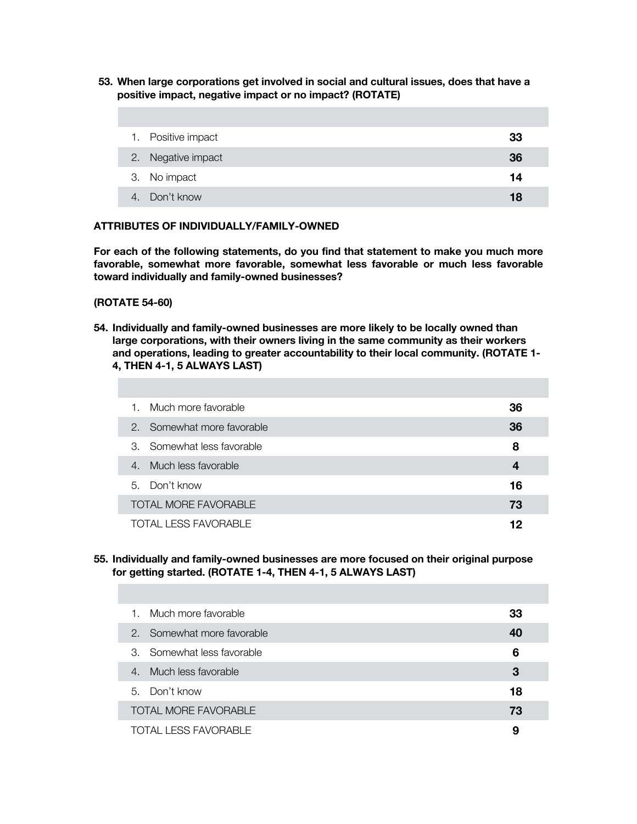**53. When large corporations get involved in social and cultural issues, does that have a positive impact, negative impact or no impact? (ROTATE)**

| 1. Positive impact | 33 |
|--------------------|----|
| 2. Negative impact | 36 |
| 3. No impact       | 14 |
| 4. Don't know      | 18 |

### **ATTRIBUTES OF INDIVIDUALLY/FAMILY-OWNED**

**For each of the following statements, do you find that statement to make you much more favorable, somewhat more favorable, somewhat less favorable or much less favorable toward individually and family-owned businesses?** 

#### **(ROTATE 54-60)**

**54. Individually and family-owned businesses are more likely to be locally owned than large corporations, with their owners living in the same community as their workers and operations, leading to greater accountability to their local community. (ROTATE 1- 4, THEN 4-1, 5 ALWAYS LAST)** 

| 1. Much more favorable                | 36 |
|---------------------------------------|----|
| 2. Somewhat more favorable            | 36 |
| 3. Somewhat less favorable            | 8  |
| Much less favorable<br>$\overline{4}$ |    |
| 5. Don't know                         | 16 |
| <b>TOTAL MORE FAVORABLE</b>           | 73 |
| TOTAL LESS FAVORABLE                  | 12 |

#### **55. Individually and family-owned businesses are more focused on their original purpose for getting started. (ROTATE 1-4, THEN 4-1, 5 ALWAYS LAST)**

| 1. Much more favorable      | 33 |
|-----------------------------|----|
| 2. Somewhat more favorable  | 40 |
| 3. Somewhat less favorable  | 6  |
| 4. Much less favorable      | 3  |
| 5. Don't know               | 18 |
| <b>TOTAL MORE FAVORABLE</b> | 73 |
| TOTAL LESS FAVORABLE        | 9  |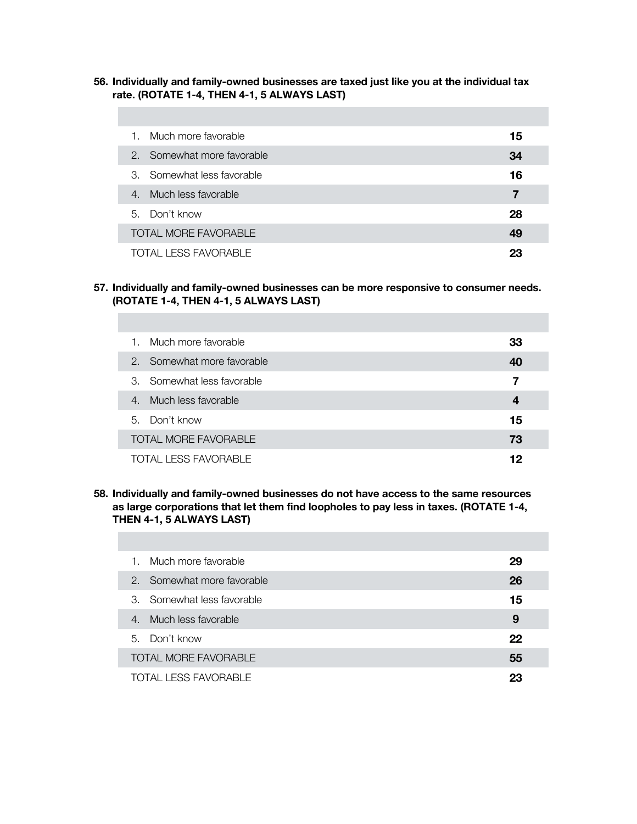**56. Individually and family-owned businesses are taxed just like you at the individual tax rate. (ROTATE 1-4, THEN 4-1, 5 ALWAYS LAST)** 

| 1.               | Much more favorable         | 15 |
|------------------|-----------------------------|----|
|                  | 2. Somewhat more favorable  | 34 |
|                  | 3. Somewhat less favorable  | 16 |
| $\overline{4}$ . | Much less favorable         | 7  |
| 5. Don't know    |                             | 28 |
|                  | <b>TOTAL MORE FAVORABLE</b> | 49 |
|                  | <b>TOTAL LESS FAVORABLE</b> | 23 |

**57. Individually and family-owned businesses can be more responsive to consumer needs. (ROTATE 1-4, THEN 4-1, 5 ALWAYS LAST)** 

| Much more favorable<br>1.             | 33 |
|---------------------------------------|----|
| 2. Somewhat more favorable            | 40 |
| 3. Somewhat less favorable            | 7  |
| Much less favorable<br>$\overline{4}$ |    |
| 5. Don't know                         | 15 |
| <b>TOTAL MORE FAVORABLE</b>           | 73 |
| <b>TOTAL LESS FAVORABLE</b>           | 12 |

**58. Individually and family-owned businesses do not have access to the same resources as large corporations that let them find loopholes to pay less in taxes. (ROTATE 1-4, THEN 4-1, 5 ALWAYS LAST)** 

| 1. Much more favorable      | 29 |
|-----------------------------|----|
| 2. Somewhat more favorable  | 26 |
| 3. Somewhat less favorable  | 15 |
| 4. Much less favorable      | 9  |
| 5. Don't know               | 22 |
| <b>TOTAL MORE FAVORABLE</b> | 55 |
| TOTAL LESS FAVORABLE        | 23 |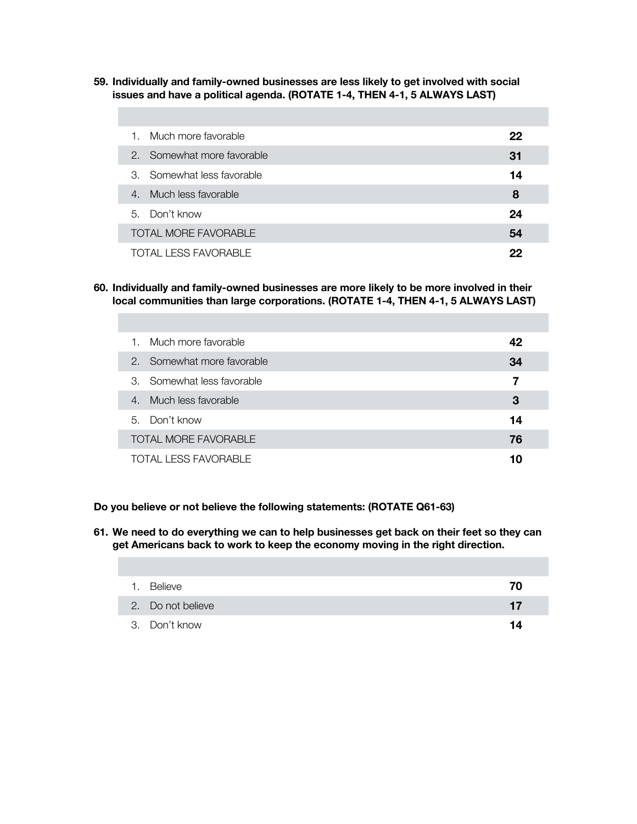**59. Individually and family-owned businesses are less likely to get involved with social issues and have a political agenda. (ROTATE 1-4, THEN 4-1, 5 ALWAYS LAST)** 

| 1.                    | Much more favorable         | 22 |
|-----------------------|-----------------------------|----|
|                       | 2. Somewhat more favorable  | 31 |
|                       | 3. Somewhat less favorable  | 14 |
| $\mathcal{A}_{\cdot}$ | Much less favorable         | 8  |
|                       | 5. Don't know               | 24 |
|                       | <b>TOTAL MORE FAVORABLE</b> | 54 |
|                       | TOTAL LESS FAVORABLE        | 22 |

**60. Individually and family-owned businesses are more likely to be more involved in their local communities than large corporations. (ROTATE 1-4, THEN 4-1, 5 ALWAYS LAST)** 

| Much more favorable<br>1.   | 42 |
|-----------------------------|----|
| 2. Somewhat more favorable  | 34 |
| 3. Somewhat less favorable  | 7  |
| 4. Much less favorable      | З  |
| 5. Don't know               | 14 |
| <b>TOTAL MORE FAVORABLE</b> | 76 |
| <b>TOTAL LESS FAVORABLE</b> | 10 |

**Do you believe or not believe the following statements: (ROTATE Q61-63)**

**61. We need to do everything we can to help businesses get back on their feet so they can get Americans back to work to keep the economy moving in the right direction.**

| Believe           |    |
|-------------------|----|
| 2. Do not believe | 17 |
| 3. Don't know     |    |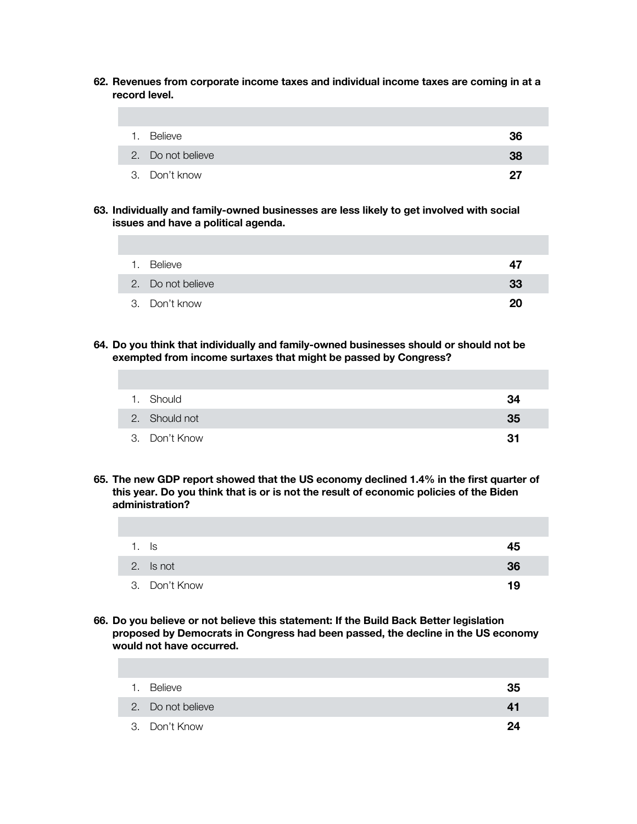**62. Revenues from corporate income taxes and individual income taxes are coming in at a record level.**

| 1. Believe        | 36 |
|-------------------|----|
| 2. Do not believe | 38 |
| 3. Don't know     | 27 |

**63. Individually and family-owned businesses are less likely to get involved with social issues and have a political agenda.**

| 1. | Believe           | 47 |
|----|-------------------|----|
|    | 2. Do not believe | 33 |
|    | 3. Don't know     | 20 |

**64. Do you think that individually and family-owned businesses should or should not be exempted from income surtaxes that might be passed by Congress?** 

| 1. Should     | 34 |
|---------------|----|
| 2. Should not | 35 |
| 3. Don't Know | 31 |

**65. The new GDP report showed that the US economy declined 1.4% in the first quarter of this year. Do you think that is or is not the result of economic policies of the Biden administration?** 

| - Is          | 45 |
|---------------|----|
| 2. Is not     | 36 |
| 3. Don't Know | 19 |

**66. Do you believe or not believe this statement: If the Build Back Better legislation proposed by Democrats in Congress had been passed, the decline in the US economy would not have occurred.**

| $\mathbf{1}$ . | Believe           | 35 |
|----------------|-------------------|----|
|                | 2. Do not believe | 41 |
|                | 3. Don't Know     | 94 |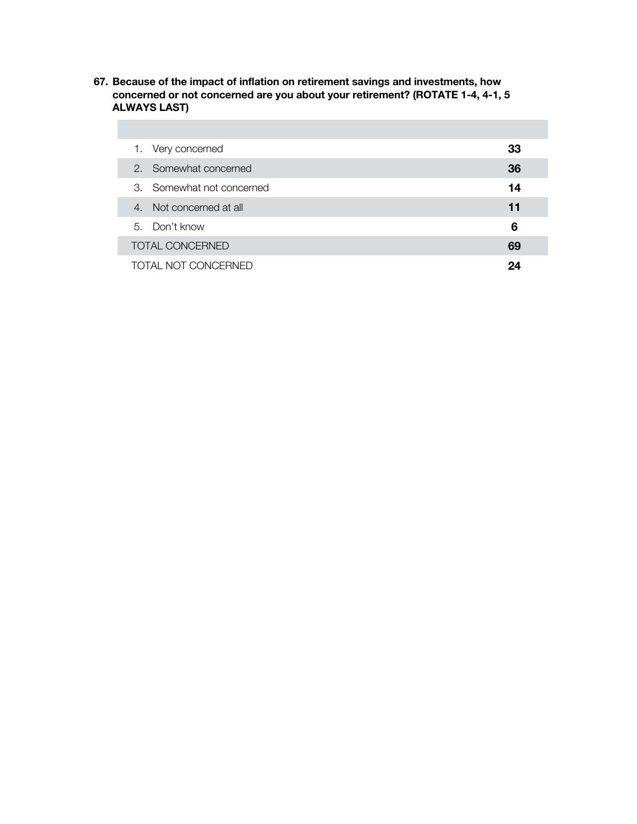**67. Because of the impact of inflation on retirement savings and investments, how concerned or not concerned are you about your retirement? (ROTATE 1-4, 4-1, 5 ALWAYS LAST)**

|  | 1. Very concerned         | 33 |
|--|---------------------------|----|
|  | 2. Somewhat concerned     | 36 |
|  | 3. Somewhat not concerned | 14 |
|  | 4. Not concerned at all   | 11 |
|  | 5. Don't know             | 6  |
|  | <b>TOTAL CONCERNED</b>    | 69 |
|  | TOTAL NOT CONCERNED       |    |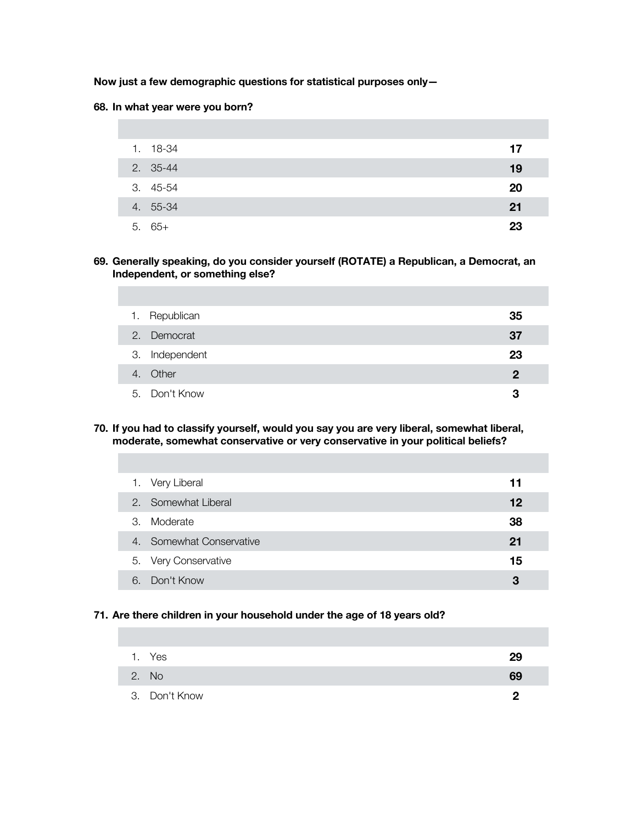### **Now just a few demographic questions for statistical purposes only—**

#### **68. In what year were you born?**

| 1. 18-34 | 17 |
|----------|----|
| 2. 35-44 | 19 |
| 3. 45-54 | 20 |
| 4. 55-34 | 21 |
| $5.65+$  | 23 |

#### **69. Generally speaking, do you consider yourself (ROTATE) a Republican, a Democrat, an Independent, or something else?**

| 1. Republican  | 35 |
|----------------|----|
| 2. Democrat    | 37 |
| 3. Independent | 23 |
| 4. Other       | 2  |
| 5. Don't Know  | 3  |

#### **70. If you had to classify yourself, would you say you are very liberal, somewhat liberal, moderate, somewhat conservative or very conservative in your political beliefs?**

|    | 1. Very Liberal          | 11 |
|----|--------------------------|----|
|    | 2. Somewhat Liberal      | 12 |
| 3. | Moderate                 | 38 |
|    | 4. Somewhat Conservative | 21 |
|    | 5. Very Conservative     | 15 |
|    | 6. Don't Know            | 3  |

#### **71. Are there children in your household under the age of 18 years old?**

| 1. Yes        | 29 |
|---------------|----|
| 2. No         | 69 |
| 3. Don't Know | ŋ  |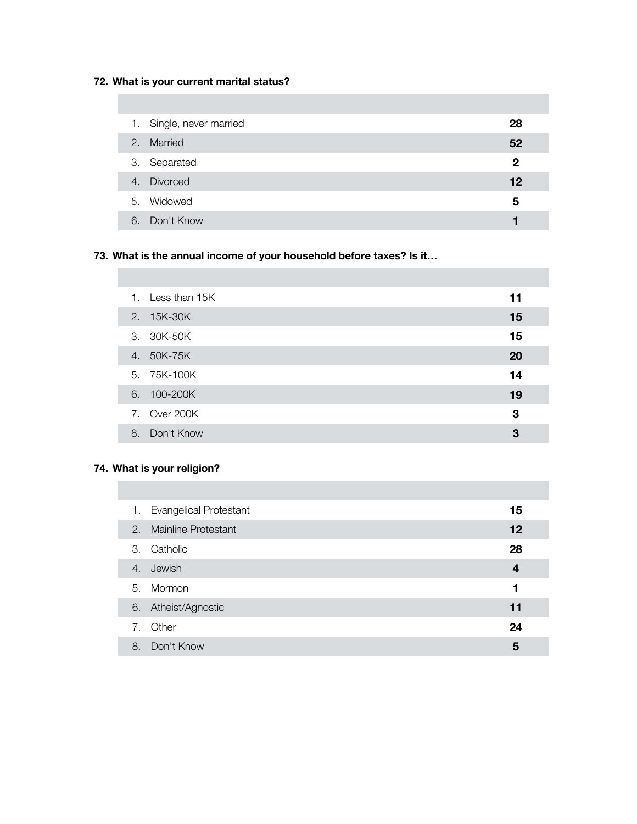# **72. What is your current marital status?**

| 1. Single, never married | 28           |
|--------------------------|--------------|
| 2. Married               | 52           |
| 3. Separated             | $\mathbf{2}$ |
| 4. Divorced              | 12           |
| 5. Widowed               | 5            |
| 6. Don't Know            |              |

# **73. What is the annual income of your household before taxes? Is it…**

| $1_{\cdot}$ | Less than 15K | 11 |
|-------------|---------------|----|
|             | 2. 15K-30K    | 15 |
|             | 3. 30K-50K    | 15 |
| 4.          | 50K-75K       | 20 |
|             | 5. 75K-100K   | 14 |
|             | 6. 100-200K   | 19 |
|             | 7. Over 200K  | 3  |
| 8.          | Don't Know    | 3  |

## **74. What is your religion?**

| <b>Evangelical Protestant</b><br>1. | 15 |
|-------------------------------------|----|
| 2. Mainline Protestant              | 12 |
| Catholic<br>3.                      | 28 |
| 4. Jewish                           | 4  |
| 5. Mormon                           | 1  |
| 6. Atheist/Agnostic                 | 11 |
| 7. Other                            | 24 |
| Don't Know<br>8.                    | 5  |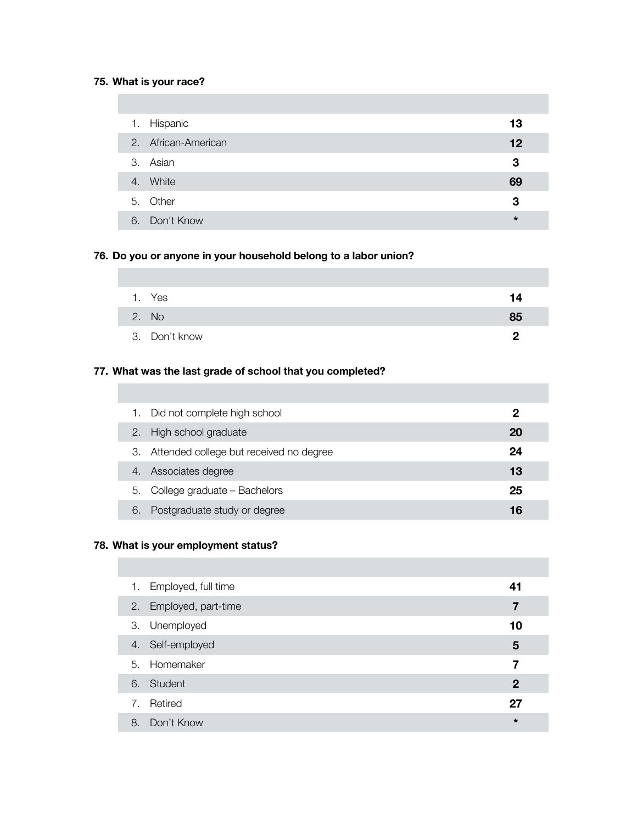# **75. What is your race?**

| 1. | Hispanic            | 13      |
|----|---------------------|---------|
|    | 2. African-American | 12      |
|    | 3. Asian            | 3       |
| 4. | White               | 69      |
|    | 5. Other            | 3       |
| 6. | Don't Know          | $\star$ |

## **76. Do you or anyone in your household belong to a labor union?**

| 1. Yes        | 14 |
|---------------|----|
| 2. No         | 85 |
| 3. Don't know | 0  |

## **77. What was the last grade of school that you completed?**

|    | Did not complete high school            | 2  |  |
|----|-----------------------------------------|----|--|
| 2. | High school graduate                    | 20 |  |
| З. | Attended college but received no degree | 24 |  |
| 4. | Associates degree                       | 13 |  |
| 5. | College graduate - Bachelors            | 25 |  |
| 6  | Postgraduate study or degree            | 16 |  |

## **78. What is your employment status?**

| 1. | Employed, full time    | 41           |
|----|------------------------|--------------|
|    | 2. Employed, part-time | 7            |
|    | 3. Unemployed          | 10           |
|    | 4. Self-employed       | 5            |
|    | 5. Homemaker           | 7            |
|    | 6. Student             | $\mathbf{2}$ |
| 7. | Retired                | 27           |
| 8. | Don't Know             | $\star$      |